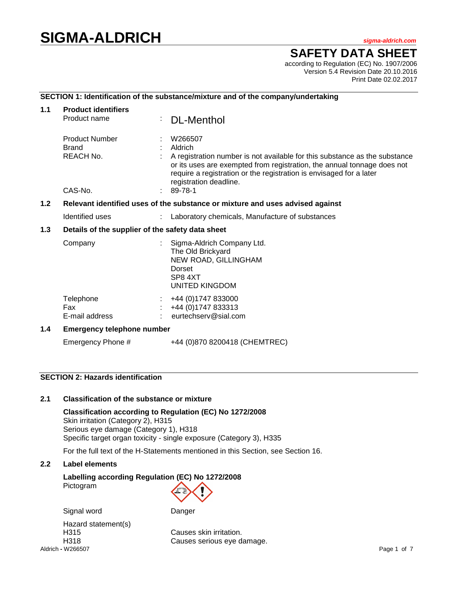# **SIGMA-ALDRICH** *sigma-aldrich.com*

# **SAFETY DATA SHEET**

according to Regulation (EC) No. 1907/2006 Version 5.4 Revision Date 20.10.2016 Print Date 02.02.2017

#### **SECTION 1: Identification of the substance/mixture and of the company/undertaking**

| 1.1                                                                                  | <b>Product identifiers</b>                         |  |                                                                                                                                                                                                                                                                              |  |  |  |
|--------------------------------------------------------------------------------------|----------------------------------------------------|--|------------------------------------------------------------------------------------------------------------------------------------------------------------------------------------------------------------------------------------------------------------------------------|--|--|--|
|                                                                                      | Product name                                       |  | <b>DL-Menthol</b>                                                                                                                                                                                                                                                            |  |  |  |
|                                                                                      | <b>Product Number</b><br><b>Brand</b><br>REACH No. |  | W266507<br>Aldrich<br>A registration number is not available for this substance as the substance<br>or its uses are exempted from registration, the annual tonnage does not<br>require a registration or the registration is envisaged for a later<br>registration deadline. |  |  |  |
|                                                                                      | CAS-No.                                            |  | 89-78-1                                                                                                                                                                                                                                                                      |  |  |  |
| 1.2<br>Relevant identified uses of the substance or mixture and uses advised against |                                                    |  |                                                                                                                                                                                                                                                                              |  |  |  |
|                                                                                      | Identified uses                                    |  | Laboratory chemicals, Manufacture of substances                                                                                                                                                                                                                              |  |  |  |
| 1.3                                                                                  | Details of the supplier of the safety data sheet   |  |                                                                                                                                                                                                                                                                              |  |  |  |
|                                                                                      | Company                                            |  | Sigma-Aldrich Company Ltd.<br>The Old Brickyard<br>NEW ROAD, GILLINGHAM<br>Dorset<br>SP8 4XT<br><b>UNITED KINGDOM</b>                                                                                                                                                        |  |  |  |
|                                                                                      | Telephone<br>Fax<br>E-mail address                 |  | +44 (0) 1747 833000<br>+44 (0) 1747 833313<br>eurtechserv@sial.com                                                                                                                                                                                                           |  |  |  |
| 1.4                                                                                  | <b>Emergency telephone number</b>                  |  |                                                                                                                                                                                                                                                                              |  |  |  |
|                                                                                      | Emergency Phone #                                  |  | +44 (0)870 8200418 (CHEMTREC)                                                                                                                                                                                                                                                |  |  |  |

# **SECTION 2: Hazards identification**

#### **2.1 Classification of the substance or mixture**

**Classification according to Regulation (EC) No 1272/2008** Skin irritation (Category 2), H315 Serious eye damage (Category 1), H318 Specific target organ toxicity - single exposure (Category 3), H335

For the full text of the H-Statements mentioned in this Section, see Section 16.

#### **2.2 Label elements**

#### **Labelling according Regulation (EC) No 1272/2008** Pictogram

Signal word Danger

Aldrich **-** W266507 Page 1 of 7 Hazard statement(s)

H315 Causes skin irritation. H318 Causes serious eye damage.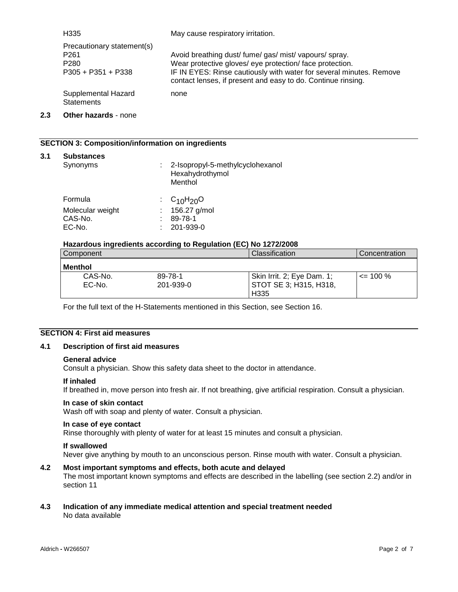| H335                                                                                       | May cause respiratory irritation.                                                                                                                                                                                                                         |
|--------------------------------------------------------------------------------------------|-----------------------------------------------------------------------------------------------------------------------------------------------------------------------------------------------------------------------------------------------------------|
| Precautionary statement(s)<br>P <sub>261</sub><br>P <sub>280</sub><br>$P305 + P351 + P338$ | Avoid breathing dust/ fume/ gas/ mist/ vapours/ spray.<br>Wear protective gloves/ eye protection/ face protection.<br>IF IN EYES: Rinse cautiously with water for several minutes. Remove<br>contact lenses, if present and easy to do. Continue rinsing. |
| Supplemental Hazard<br><b>Statements</b>                                                   | none                                                                                                                                                                                                                                                      |

#### **2.3 Other hazards** - none

### **SECTION 3: Composition/information on ingredients**

#### **3.1 Substances**

| Synonyms         |    | 2-Isopropyl-5-methylcyclohexanol<br>Hexahydrothymol<br>Menthol |
|------------------|----|----------------------------------------------------------------|
| Formula          |    | : $C_{10}H_{20}O$                                              |
| Molecular weight |    | 156.27 g/mol                                                   |
| CAS-No.          | ٠. | 89-78-1                                                        |
| EC-No.           |    | 201-939-0                                                      |

#### **Hazardous ingredients according to Regulation (EC) No 1272/2008**

| Component |           | <b>Classification</b>      | Concentration |
|-----------|-----------|----------------------------|---------------|
| l Menthol |           |                            |               |
| CAS-No.   | 89-78-1   | Skin Irrit. 2; Eye Dam. 1; | $\leq$ 100 %  |
| EC-No.    | 201-939-0 | STOT SE 3; H315, H318,     |               |
|           |           | H <sub>335</sub>           |               |

For the full text of the H-Statements mentioned in this Section, see Section 16.

# **SECTION 4: First aid measures**

#### **4.1 Description of first aid measures**

#### **General advice**

Consult a physician. Show this safety data sheet to the doctor in attendance.

#### **If inhaled**

If breathed in, move person into fresh air. If not breathing, give artificial respiration. Consult a physician.

#### **In case of skin contact**

Wash off with soap and plenty of water. Consult a physician.

#### **In case of eye contact**

Rinse thoroughly with plenty of water for at least 15 minutes and consult a physician.

#### **If swallowed**

Never give anything by mouth to an unconscious person. Rinse mouth with water. Consult a physician.

# **4.2 Most important symptoms and effects, both acute and delayed**

The most important known symptoms and effects are described in the labelling (see section 2.2) and/or in section 11

#### **4.3 Indication of any immediate medical attention and special treatment needed** No data available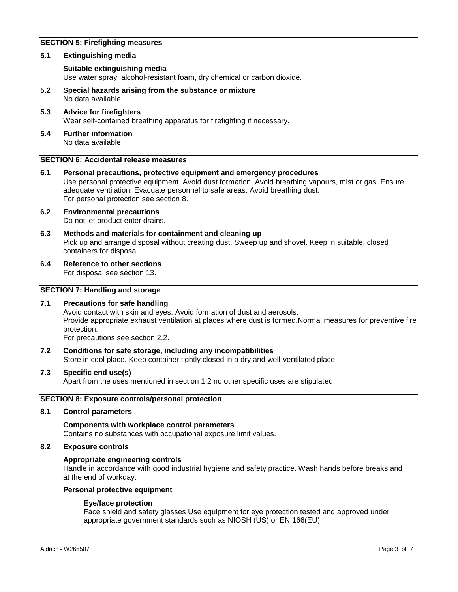# **SECTION 5: Firefighting measures**

#### **5.1 Extinguishing media**

#### **Suitable extinguishing media**

Use water spray, alcohol-resistant foam, dry chemical or carbon dioxide.

- **5.2 Special hazards arising from the substance or mixture** No data available
- **5.3 Advice for firefighters** Wear self-contained breathing apparatus for firefighting if necessary.
- **5.4 Further information** No data available

## **SECTION 6: Accidental release measures**

- **6.1 Personal precautions, protective equipment and emergency procedures** Use personal protective equipment. Avoid dust formation. Avoid breathing vapours, mist or gas. Ensure adequate ventilation. Evacuate personnel to safe areas. Avoid breathing dust. For personal protection see section 8.
- **6.2 Environmental precautions** Do not let product enter drains.
- **6.3 Methods and materials for containment and cleaning up** Pick up and arrange disposal without creating dust. Sweep up and shovel. Keep in suitable, closed containers for disposal.
- **6.4 Reference to other sections**

For disposal see section 13.

#### **SECTION 7: Handling and storage**

#### **7.1 Precautions for safe handling**

Avoid contact with skin and eyes. Avoid formation of dust and aerosols. Provide appropriate exhaust ventilation at places where dust is formed.Normal measures for preventive fire protection.

For precautions see section 2.2.

**7.2 Conditions for safe storage, including any incompatibilities** Store in cool place. Keep container tightly closed in a dry and well-ventilated place.

#### **7.3 Specific end use(s)**

Apart from the uses mentioned in section 1.2 no other specific uses are stipulated

#### **SECTION 8: Exposure controls/personal protection**

#### **8.1 Control parameters**

#### **Components with workplace control parameters** Contains no substances with occupational exposure limit values.

#### **8.2 Exposure controls**

#### **Appropriate engineering controls**

Handle in accordance with good industrial hygiene and safety practice. Wash hands before breaks and at the end of workday.

#### **Personal protective equipment**

#### **Eye/face protection**

Face shield and safety glasses Use equipment for eye protection tested and approved under appropriate government standards such as NIOSH (US) or EN 166(EU).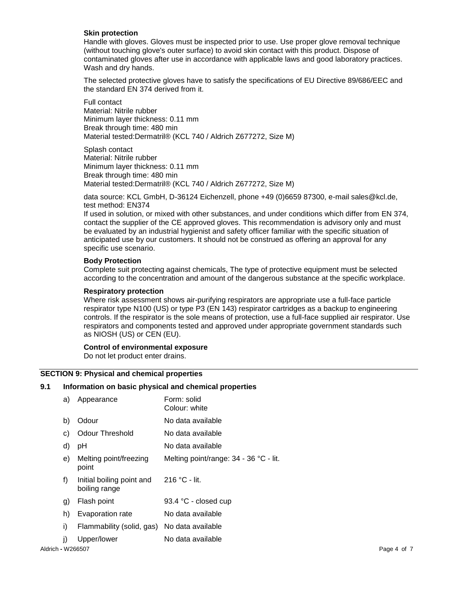#### **Skin protection**

Handle with gloves. Gloves must be inspected prior to use. Use proper glove removal technique (without touching glove's outer surface) to avoid skin contact with this product. Dispose of contaminated gloves after use in accordance with applicable laws and good laboratory practices. Wash and dry hands.

The selected protective gloves have to satisfy the specifications of EU Directive 89/686/EEC and the standard EN 374 derived from it.

Full contact Material: Nitrile rubber Minimum layer thickness: 0.11 mm Break through time: 480 min Material tested:Dermatril® (KCL 740 / Aldrich Z677272, Size M)

Splash contact Material: Nitrile rubber Minimum layer thickness: 0.11 mm Break through time: 480 min Material tested:Dermatril® (KCL 740 / Aldrich Z677272, Size M)

data source: KCL GmbH, D-36124 Eichenzell, phone +49 (0)6659 87300, e-mail sales@kcl.de, test method: EN374

If used in solution, or mixed with other substances, and under conditions which differ from EN 374, contact the supplier of the CE approved gloves. This recommendation is advisory only and must be evaluated by an industrial hygienist and safety officer familiar with the specific situation of anticipated use by our customers. It should not be construed as offering an approval for any specific use scenario.

#### **Body Protection**

Complete suit protecting against chemicals, The type of protective equipment must be selected according to the concentration and amount of the dangerous substance at the specific workplace.

#### **Respiratory protection**

Where risk assessment shows air-purifying respirators are appropriate use a full-face particle respirator type N100 (US) or type P3 (EN 143) respirator cartridges as a backup to engineering controls. If the respirator is the sole means of protection, use a full-face supplied air respirator. Use respirators and components tested and approved under appropriate government standards such as NIOSH (US) or CEN (EU).

#### **Control of environmental exposure**

Do not let product enter drains.

#### **SECTION 9: Physical and chemical properties**

#### **9.1 Information on basic physical and chemical properties**

|                   | a) | Appearance                                 | Form: solid<br>Colour: white           |             |
|-------------------|----|--------------------------------------------|----------------------------------------|-------------|
|                   | b) | Odour                                      | No data available                      |             |
|                   | C) | <b>Odour Threshold</b>                     | No data available                      |             |
|                   | d) | pH                                         | No data available                      |             |
|                   | e) | Melting point/freezing<br>point            | Melting point/range: 34 - 36 °C - lit. |             |
|                   | f) | Initial boiling point and<br>boiling range | 216 °C - lit.                          |             |
|                   | g) | Flash point                                | 93.4 °C - closed cup                   |             |
|                   | h) | Evaporation rate                           | No data available                      |             |
|                   | i) | Flammability (solid, gas)                  | No data available                      |             |
|                   | j) | Upper/lower                                | No data available                      |             |
| Aldrich - W266507 |    |                                            |                                        | Page 4 of 7 |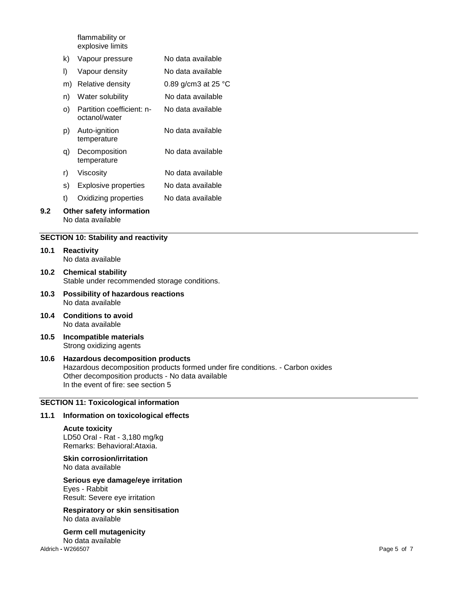flammability or explosive limits

- k) Vapour pressure No data available
- l) Vapour density No data available
- m) Relative density 0.89 g/cm3 at 25 °C
- n) Water solubility No data available
- o) Partition coefficient: noctanol/water No data available
- p) Auto-ignition temperature No data available
- q) Decomposition temperature No data available
- r) Viscosity No data available
- s) Explosive properties No data available
- t) Oxidizing properties No data available

## **9.2 Other safety information** No data available

### **SECTION 10: Stability and reactivity**

- **10.1 Reactivity** No data available
- **10.2 Chemical stability** Stable under recommended storage conditions.
- **10.3 Possibility of hazardous reactions** No data available
- **10.4 Conditions to avoid** No data available
- **10.5 Incompatible materials** Strong oxidizing agents

#### **10.6 Hazardous decomposition products** Hazardous decomposition products formed under fire conditions. - Carbon oxides Other decomposition products - No data available In the event of fire: see section 5

#### **SECTION 11: Toxicological information**

# **11.1 Information on toxicological effects**

#### **Acute toxicity** LD50 Oral - Rat - 3,180 mg/kg Remarks: Behavioral:Ataxia.

#### **Skin corrosion/irritation** No data available

#### **Serious eye damage/eye irritation** Eyes - Rabbit Result: Severe eye irritation

**Respiratory or skin sensitisation** No data available

Aldrich **-** W266507 Page 5 of 7 **Germ cell mutagenicity** No data available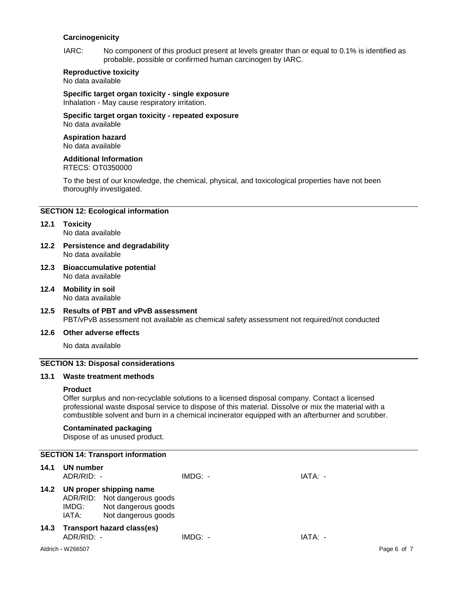#### **Carcinogenicity**

IARC: No component of this product present at levels greater than or equal to 0.1% is identified as probable, possible or confirmed human carcinogen by IARC.

## **Reproductive toxicity**

No data available

#### **Specific target organ toxicity - single exposure**

Inhalation - May cause respiratory irritation.

#### **Specific target organ toxicity - repeated exposure** No data available

#### **Aspiration hazard** No data available

**Additional Information**

# RTECS: OT0350000

To the best of our knowledge, the chemical, physical, and toxicological properties have not been thoroughly investigated.

#### **SECTION 12: Ecological information**

# **12.1 Toxicity**

No data available

- **12.2 Persistence and degradability** No data available
- **12.3 Bioaccumulative potential** No data available
- **12.4 Mobility in soil** No data available
- **12.5 Results of PBT and vPvB assessment** PBT/vPvB assessment not available as chemical safety assessment not required/not conducted

# **12.6 Other adverse effects**

No data available

#### **SECTION 13: Disposal considerations**

#### **13.1 Waste treatment methods**

#### **Product**

Offer surplus and non-recyclable solutions to a licensed disposal company. Contact a licensed professional waste disposal service to dispose of this material. Dissolve or mix the material with a combustible solvent and burn in a chemical incinerator equipped with an afterburner and scrubber.

#### **Contaminated packaging**

Dispose of as unused product.

|      |                           | <b>SECTION 14: Transport information</b>                                                              |           |         |             |
|------|---------------------------|-------------------------------------------------------------------------------------------------------|-----------|---------|-------------|
| 14.1 | UN number<br>$ADR/RID: -$ |                                                                                                       | $IMDG: -$ | IATA: - |             |
| 14.2 | IMDG:<br>IATA:            | UN proper shipping name<br>ADR/RID: Not dangerous goods<br>Not dangerous goods<br>Not dangerous goods |           |         |             |
| 14.3 | ADR/RID: -                | <b>Transport hazard class(es)</b>                                                                     | $IMDG: -$ | IATA: - |             |
|      | Aldrich - W266507         |                                                                                                       |           |         | Page 6 of 7 |